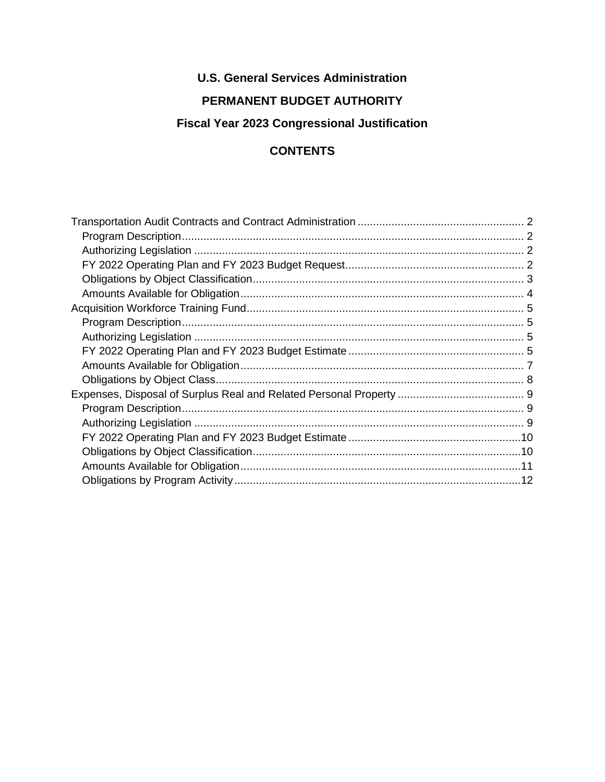## **U.S. General Services Administration**

## **PERMANENT BUDGET AUTHORITY**

# **Fiscal Year 2023 Congressional Justification**

## **CONTENTS**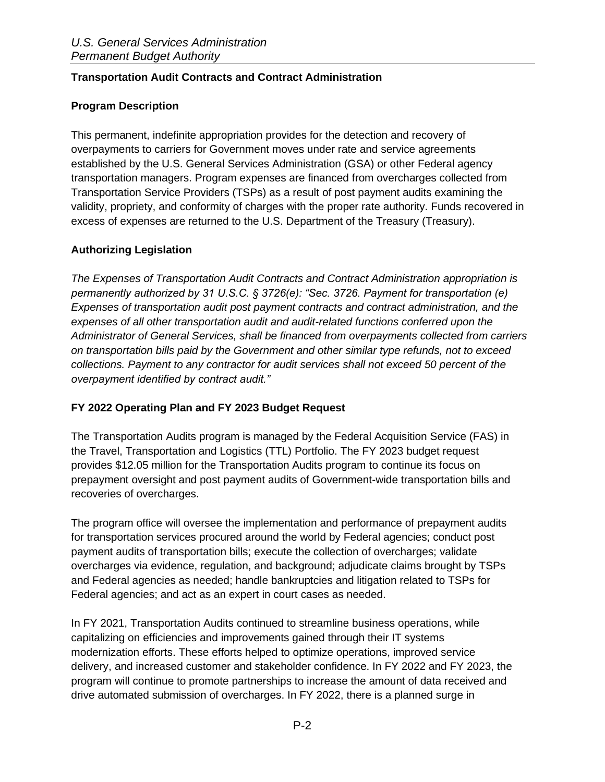#### <span id="page-1-0"></span>**Transportation Audit Contracts and Contract Administration**

#### <span id="page-1-1"></span>**Program Description**

This permanent, indefinite appropriation provides for the detection and recovery of overpayments to carriers for Government moves under rate and service agreements established by the U.S. General Services Administration (GSA) or other Federal agency transportation managers. Program expenses are financed from overcharges collected from Transportation Service Providers (TSPs) as a result of post payment audits examining the validity, propriety, and conformity of charges with the proper rate authority. Funds recovered in excess of expenses are returned to the U.S. Department of the Treasury (Treasury).

#### <span id="page-1-2"></span>**Authorizing Legislation**

*The Expenses of Transportation Audit Contracts and Contract Administration appropriation is permanently authorized by 31 U.S.C. § 3726(e): "Sec. 3726. Payment for transportation (e) Expenses of transportation audit post payment contracts and contract administration, and the expenses of all other transportation audit and audit-related functions conferred upon the Administrator of General Services, shall be financed from overpayments collected from carriers on transportation bills paid by the Government and other similar type refunds, not to exceed collections. Payment to any contractor for audit services shall not exceed 50 percent of the overpayment identified by contract audit."* 

#### <span id="page-1-3"></span>**FY 2022 Operating Plan and FY 2023 Budget Request**

The Transportation Audits program is managed by the Federal Acquisition Service (FAS) in the Travel, Transportation and Logistics (TTL) Portfolio. The FY 2023 budget request provides \$12.05 million for the Transportation Audits program to continue its focus on prepayment oversight and post payment audits of Government-wide transportation bills and recoveries of overcharges.

The program office will oversee the implementation and performance of prepayment audits for transportation services procured around the world by Federal agencies; conduct post payment audits of transportation bills; execute the collection of overcharges; validate overcharges via evidence, regulation, and background; adjudicate claims brought by TSPs and Federal agencies as needed; handle bankruptcies and litigation related to TSPs for Federal agencies; and act as an expert in court cases as needed.

In FY 2021, Transportation Audits continued to streamline business operations, while capitalizing on efficiencies and improvements gained through their IT systems modernization efforts. These efforts helped to optimize operations, improved service delivery, and increased customer and stakeholder confidence. In FY 2022 and FY 2023, the program will continue to promote partnerships to increase the amount of data received and drive automated submission of overcharges. In FY 2022, there is a planned surge in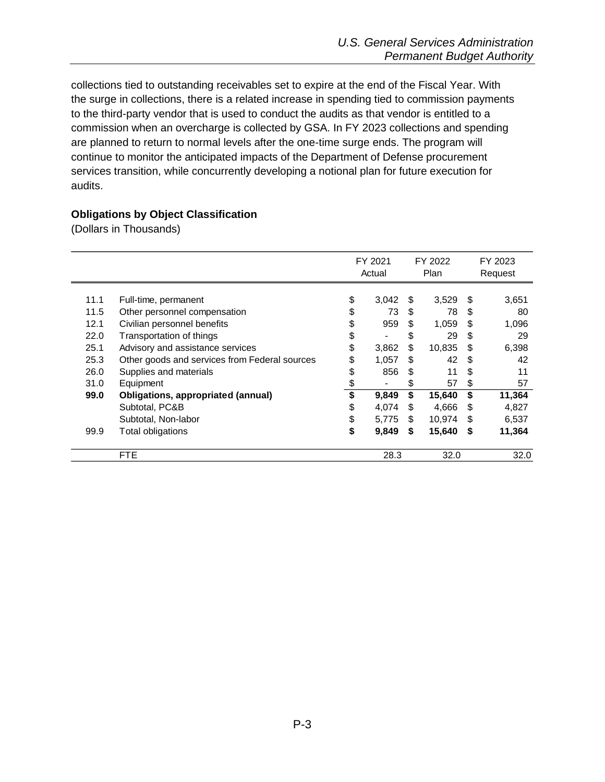collections tied to outstanding receivables set to expire at the end of the Fiscal Year. With the surge in collections, there is a related increase in spending tied to commission payments to the third-party vendor that is used to conduct the audits as that vendor is entitled to a commission when an overcharge is collected by GSA. In FY 2023 collections and spending are planned to return to normal levels after the one-time surge ends. The program will continue to monitor the anticipated impacts of the Department of Defense procurement services transition, while concurrently developing a notional plan for future execution for audits.

#### <span id="page-2-0"></span>**Obligations by Object Classification**

(Dollars in Thousands)

|      |                                               |    | FY 2021<br>Actual |    | FY 2022<br>Plan |     | FY 2023<br>Request |  |      |  |      |
|------|-----------------------------------------------|----|-------------------|----|-----------------|-----|--------------------|--|------|--|------|
| 11.1 | Full-time, permanent                          | \$ | 3,042             | S  | 3,529           | S   | 3,651              |  |      |  |      |
| 11.5 | Other personnel compensation                  |    | 73                | \$ | 78              | \$. | 80                 |  |      |  |      |
| 12.1 | Civilian personnel benefits                   |    | 959               | S  | 1,059           | S   | 1,096              |  |      |  |      |
| 22.0 | Transportation of things                      | \$ |                   |    | 29<br>\$        |     | 29                 |  |      |  |      |
| 25.1 | Advisory and assistance services              | \$ | 3,862             | \$ | 10,835          | S   | 6,398              |  |      |  |      |
| 25.3 | Other goods and services from Federal sources | S  | 1,057             | S. | 42              | \$. | 42                 |  |      |  |      |
| 26.0 | Supplies and materials                        |    | 856               | S. | 11              | \$. | 11                 |  |      |  |      |
| 31.0 | Equipment                                     |    |                   | \$ | 57              | \$  | 57                 |  |      |  |      |
| 99.0 | <b>Obligations, appropriated (annual)</b>     |    | 9,849             | \$ | 15,640          | \$  | 11,364             |  |      |  |      |
|      | Subtotal, PC&B                                | \$ | 4,074             | \$ | 4,666           | \$  | 4,827              |  |      |  |      |
|      | Subtotal, Non-labor                           | \$ | 5,775             | S  | 10,974          | S   | 6,537              |  |      |  |      |
| 99.9 | Total obligations                             | S  | 9,849             | S  | 15,640          | S   | 11,364             |  |      |  |      |
|      | <b>FTE</b>                                    |    | 28.3              |    |                 |     |                    |  | 32.0 |  | 32.0 |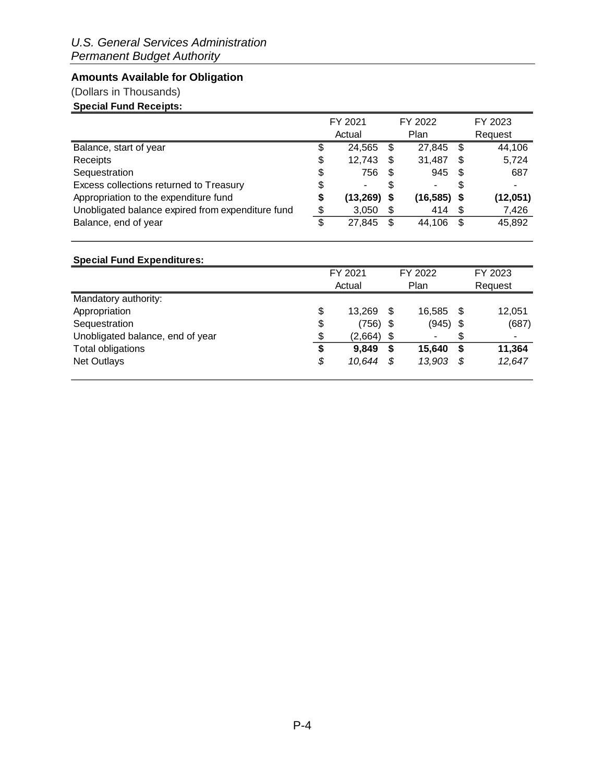### <span id="page-3-0"></span>**Amounts Available for Obligation**

### (Dollars in Thousands)

### **Special Fund Receipts:**

|                                                   |                | FY 2021       |      | FY 2022       |      | FY 2023  |  |  |  |
|---------------------------------------------------|----------------|---------------|------|---------------|------|----------|--|--|--|
|                                                   | Actual<br>Plan |               |      |               |      | Request  |  |  |  |
| Balance, start of year                            | \$             | 24.565        | S    | 27,845        | \$   | 44,106   |  |  |  |
| Receipts                                          | \$             | 12,743        | S    | 31,487        | S    | 5,724    |  |  |  |
| Sequestration                                     | \$             | 756           | - \$ | 945           | - \$ | 687      |  |  |  |
| Excess collections returned to Treasury           | \$             | ۰             |      |               | S    |          |  |  |  |
| Appropriation to the expenditure fund             | \$             | $(13,269)$ \$ |      | $(16,585)$ \$ |      | (12,051) |  |  |  |
| Unobligated balance expired from expenditure fund | \$             | 3,050         | \$   | 414           | - \$ | 7,426    |  |  |  |
| Balance, end of year                              | \$             | 27,845        | S    | 44.106        | £.   | 45,892   |  |  |  |

## **Special Fund Expenditures:**

|                                  | FY 2021        |      | FY 2022    | FY 2023 |         |  |  |  |
|----------------------------------|----------------|------|------------|---------|---------|--|--|--|
|                                  | Actual<br>Plan |      |            |         | Request |  |  |  |
| Mandatory authority:             |                |      |            |         |         |  |  |  |
| Appropriation                    | \$<br>13.269   | \$   | 16.585     | \$      | 12,051  |  |  |  |
| Sequestration                    | \$<br>(756)    | - \$ | $(945)$ \$ |         | (687)   |  |  |  |
| Unobligated balance, end of year | \$<br>(2,664)  | \$   | ۰          | \$      | ۰       |  |  |  |
| Total obligations                | \$<br>9,849    | S    | 15,640     |         | 11,364  |  |  |  |
| <b>Net Outlays</b>               | \$<br>10,644   | S    | 13,903     |         | 12,647  |  |  |  |
|                                  |                |      |            |         |         |  |  |  |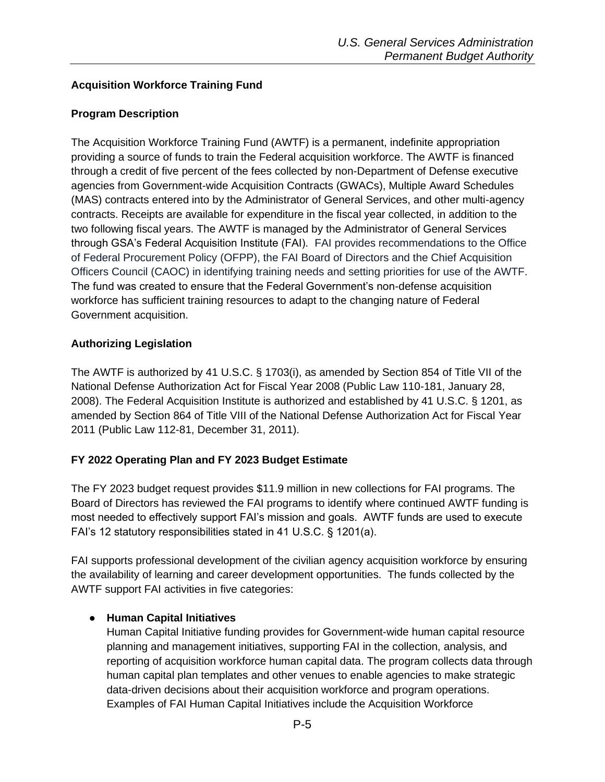### <span id="page-4-0"></span>**Acquisition Workforce Training Fund**

#### <span id="page-4-1"></span>**Program Description**

The Acquisition Workforce Training Fund (AWTF) is a permanent, indefinite appropriation providing a source of funds to train the Federal acquisition workforce. The AWTF is financed through a credit of five percent of the fees collected by non-Department of Defense executive agencies from Government-wide Acquisition Contracts (GWACs), Multiple Award Schedules (MAS) contracts entered into by the Administrator of General Services, and other multi-agency contracts. Receipts are available for expenditure in the fiscal year collected, in addition to the two following fiscal years. The AWTF is managed by the Administrator of General Services through GSA's Federal Acquisition Institute (FAI). FAI provides recommendations to the Office of Federal Procurement Policy (OFPP), the FAI Board of Directors and the Chief Acquisition Officers Council (CAOC) in identifying training needs and setting priorities for use of the AWTF. The fund was created to ensure that the Federal Government's non-defense acquisition workforce has sufficient training resources to adapt to the changing nature of Federal Government acquisition.

#### <span id="page-4-2"></span>**Authorizing Legislation**

The AWTF is authorized by 41 U.S.C. § 1703(i), as amended by Section 854 of Title VII of the National Defense Authorization Act for Fiscal Year 2008 (Public Law 110-181, January 28, 2008). The Federal Acquisition Institute is authorized and established by 41 U.S.C. § 1201, as amended by Section 864 of Title VIII of the National Defense Authorization Act for Fiscal Year 2011 (Public Law 112-81, December 31, 2011).

#### <span id="page-4-3"></span>**FY 2022 Operating Plan and FY 2023 Budget Estimate**

The FY 2023 budget request provides \$11.9 million in new collections for FAI programs. The Board of Directors has reviewed the FAI programs to identify where continued AWTF funding is most needed to effectively support FAI's mission and goals. AWTF funds are used to execute FAI's 12 statutory responsibilities stated in 41 U.S.C. § 1201(a).

FAI supports professional development of the civilian agency acquisition workforce by ensuring the availability of learning and career development opportunities. The funds collected by the AWTF support FAI activities in five categories:

#### ● **Human Capital Initiatives**

Human Capital Initiative funding provides for Government-wide human capital resource planning and management initiatives, supporting FAI in the collection, analysis, and reporting of acquisition workforce human capital data. The program collects data through human capital plan templates and other venues to enable agencies to make strategic data-driven decisions about their acquisition workforce and program operations. Examples of FAI Human Capital Initiatives include the Acquisition Workforce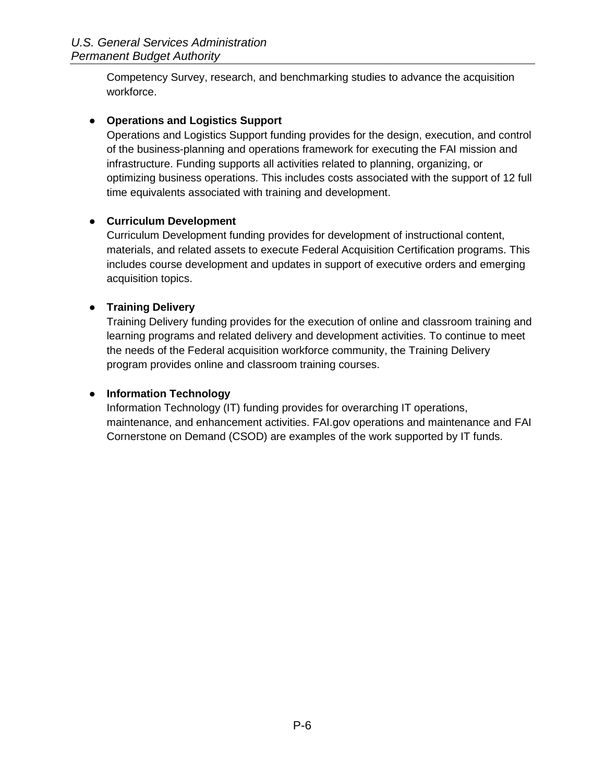Competency Survey, research, and benchmarking studies to advance the acquisition workforce.

#### ● **Operations and Logistics Support**

Operations and Logistics Support funding provides for the design, execution, and control of the business-planning and operations framework for executing the FAI mission and infrastructure. Funding supports all activities related to planning, organizing, or optimizing business operations. This includes costs associated with the support of 12 full time equivalents associated with training and development.

#### ● **Curriculum Development**

Curriculum Development funding provides for development of instructional content, materials, and related assets to execute Federal Acquisition Certification programs. This includes course development and updates in support of executive orders and emerging acquisition topics.

### ● **Training Delivery**

Training Delivery funding provides for the execution of online and classroom training and learning programs and related delivery and development activities. To continue to meet the needs of the Federal acquisition workforce community, the Training Delivery program provides online and classroom training courses.

#### ● **Information Technology**

Information Technology (IT) funding provides for overarching IT operations, maintenance, and enhancement activities. FAI.gov operations and maintenance and FAI Cornerstone on Demand (CSOD) are examples of the work supported by IT funds.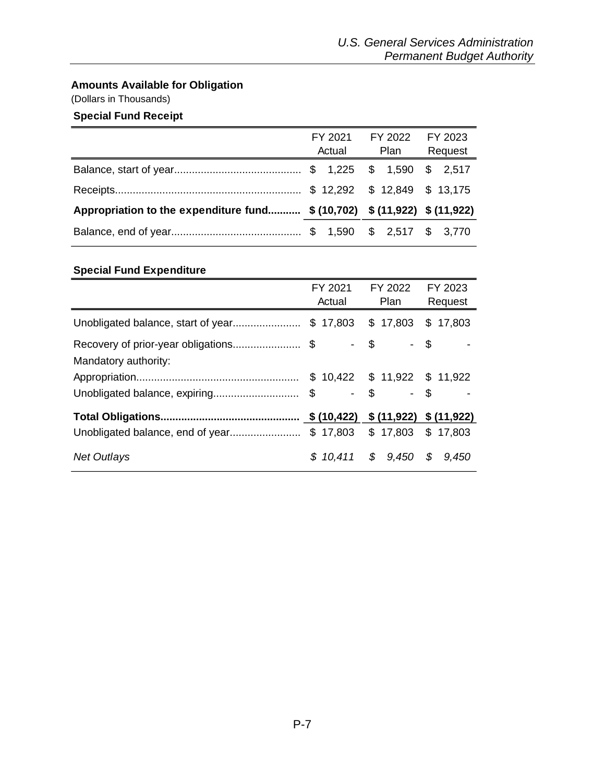### <span id="page-6-0"></span>**Amounts Available for Obligation**

(Dollars in Thousands)

### **Special Fund Receipt**

|                                                                           | FY 2021 FY 2022 FY 2023 |  |  |  |  |  |  |  |  |  |  |  |  |  |  |  |  |  |  |  |  |  |  |  |  |  |  |  |  |  |  |  |  |  |  |  |  |  |  |  |  |  |  |  |  |  |  |  |  |  |  |  |  |  |  |  |  |  |  |  |  |  |  |             |         |
|---------------------------------------------------------------------------|-------------------------|--|--|--|--|--|--|--|--|--|--|--|--|--|--|--|--|--|--|--|--|--|--|--|--|--|--|--|--|--|--|--|--|--|--|--|--|--|--|--|--|--|--|--|--|--|--|--|--|--|--|--|--|--|--|--|--|--|--|--|--|--|--|-------------|---------|
|                                                                           | Actual                  |  |  |  |  |  |  |  |  |  |  |  |  |  |  |  |  |  |  |  |  |  |  |  |  |  |  |  |  |  |  |  |  |  |  |  |  |  |  |  |  |  |  |  |  |  |  |  |  |  |  |  |  |  |  |  |  |  |  |  |  |  |  | <b>Plan</b> | Request |
|                                                                           |                         |  |  |  |  |  |  |  |  |  |  |  |  |  |  |  |  |  |  |  |  |  |  |  |  |  |  |  |  |  |  |  |  |  |  |  |  |  |  |  |  |  |  |  |  |  |  |  |  |  |  |  |  |  |  |  |  |  |  |  |  |  |  |             |         |
|                                                                           |                         |  |  |  |  |  |  |  |  |  |  |  |  |  |  |  |  |  |  |  |  |  |  |  |  |  |  |  |  |  |  |  |  |  |  |  |  |  |  |  |  |  |  |  |  |  |  |  |  |  |  |  |  |  |  |  |  |  |  |  |  |  |  |             |         |
| Appropriation to the expenditure fund \$ (10,702) \$ (11,922) \$ (11,922) |                         |  |  |  |  |  |  |  |  |  |  |  |  |  |  |  |  |  |  |  |  |  |  |  |  |  |  |  |  |  |  |  |  |  |  |  |  |  |  |  |  |  |  |  |  |  |  |  |  |  |  |  |  |  |  |  |  |  |  |  |  |  |  |             |         |
|                                                                           |                         |  |  |  |  |  |  |  |  |  |  |  |  |  |  |  |  |  |  |  |  |  |  |  |  |  |  |  |  |  |  |  |  |  |  |  |  |  |  |  |  |  |  |  |  |  |  |  |  |  |  |  |  |  |  |  |  |  |  |  |  |  |  |             |         |

### **Special Fund Expenditure**

|                                                                   | FY 2021<br>Actual | FY 2022<br>Plan               | FY 2023<br>Request |
|-------------------------------------------------------------------|-------------------|-------------------------------|--------------------|
|                                                                   |                   |                               |                    |
| Recovery of prior-year obligations\$ - \$<br>Mandatory authority: |                   | - \$                          |                    |
|                                                                   |                   | $$10,422$ $$11,922$ $$11,922$ |                    |
|                                                                   |                   | - \$                          |                    |
|                                                                   |                   |                               |                    |
|                                                                   |                   |                               |                    |
| <b>Net Outlays</b>                                                |                   | $$10,411$ $$9,450$ $$9,450$   |                    |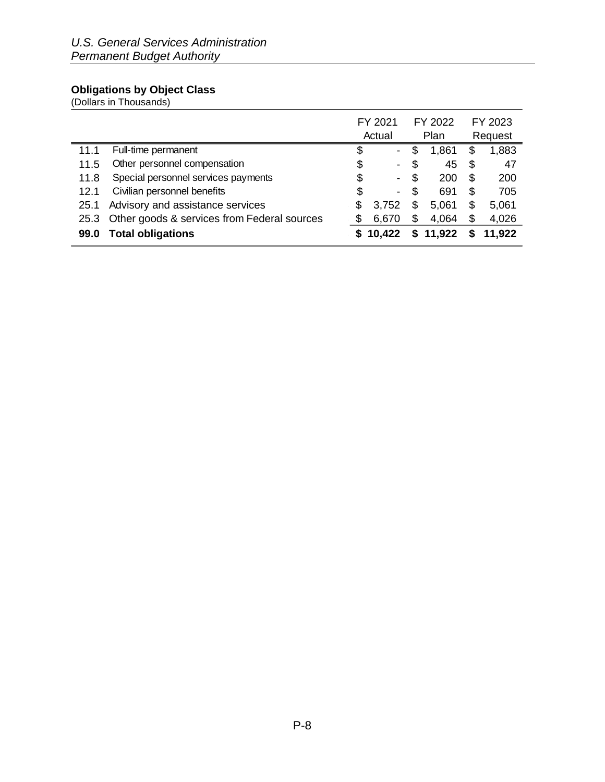#### <span id="page-7-0"></span>**Obligations by Object Class**

(Dollars in Thousands)

|      |                                             |    | FY 2021        |    | FY 2022  |    | FY 2023 |
|------|---------------------------------------------|----|----------------|----|----------|----|---------|
|      |                                             |    | Actual         |    | Plan     |    | Request |
| 11.1 | Full-time permanent                         | \$ | $\blacksquare$ | \$ | 1,861    | \$ | 1,883   |
| 11.5 | Other personnel compensation                | \$ | $\blacksquare$ | \$ | 45       | S  | 47      |
| 11.8 | Special personnel services payments         | \$ | $\blacksquare$ | S  | 200      | S  | 200     |
| 12.1 | Civilian personnel benefits                 | \$ | $\blacksquare$ | S  | 691      | \$ | 705     |
| 25.1 | Advisory and assistance services            | S  | 3,752          | \$ | 5,061    | \$ | 5,061   |
| 25.3 | Other goods & services from Federal sources | \$ | 6,670          | S  | 4,064    | \$ | 4,026   |
| 99.0 | <b>Total obligations</b>                    |    | \$10,422       |    | \$11,922 |    | 11,922  |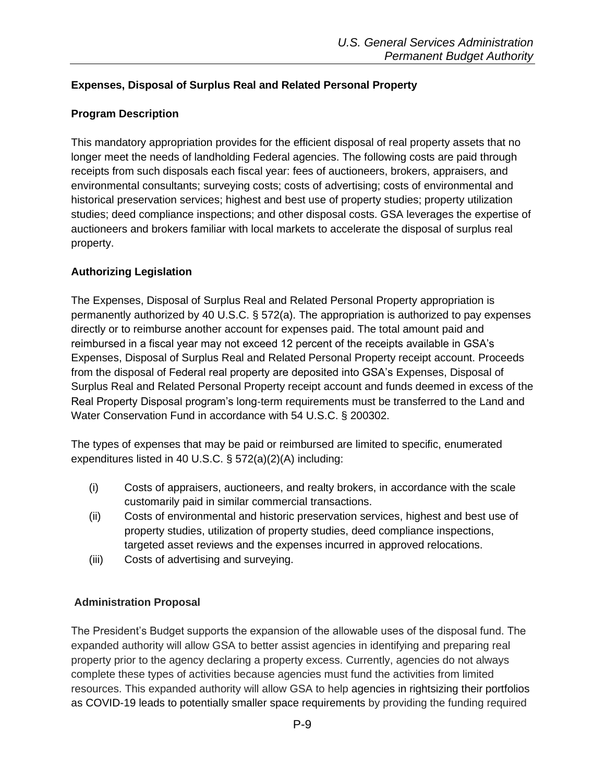### <span id="page-8-0"></span>**Expenses, Disposal of Surplus Real and Related Personal Property**

### <span id="page-8-1"></span>**Program Description**

This mandatory appropriation provides for the efficient disposal of real property assets that no longer meet the needs of landholding Federal agencies. The following costs are paid through receipts from such disposals each fiscal year: fees of auctioneers, brokers, appraisers, and environmental consultants; surveying costs; costs of advertising; costs of environmental and historical preservation services; highest and best use of property studies; property utilization studies; deed compliance inspections; and other disposal costs. GSA leverages the expertise of auctioneers and brokers familiar with local markets to accelerate the disposal of surplus real property.

### <span id="page-8-2"></span>**Authorizing Legislation**

The Expenses, Disposal of Surplus Real and Related Personal Property appropriation is permanently authorized by 40 U.S.C. § 572(a). The appropriation is authorized to pay expenses directly or to reimburse another account for expenses paid. The total amount paid and reimbursed in a fiscal year may not exceed 12 percent of the receipts available in GSA's Expenses, Disposal of Surplus Real and Related Personal Property receipt account. Proceeds from the disposal of Federal real property are deposited into GSA's Expenses, Disposal of Surplus Real and Related Personal Property receipt account and funds deemed in excess of the Real Property Disposal program's long-term requirements must be transferred to the Land and Water Conservation Fund in accordance with 54 U.S.C. § 200302.

The types of expenses that may be paid or reimbursed are limited to specific, enumerated expenditures listed in 40 U.S.C. § 572(a)(2)(A) including:

- (i) Costs of appraisers, auctioneers, and realty brokers, in accordance with the scale customarily paid in similar commercial transactions.
- (ii) Costs of environmental and historic preservation services, highest and best use of property studies, utilization of property studies, deed compliance inspections, targeted asset reviews and the expenses incurred in approved relocations.
- (iii) Costs of advertising and surveying.

#### **Administration Proposal**

The President's Budget supports the expansion of the allowable uses of the disposal fund. The expanded authority will allow GSA to better assist agencies in identifying and preparing real property prior to the agency declaring a property excess. Currently, agencies do not always complete these types of activities because agencies must fund the activities from limited resources. This expanded authority will allow GSA to help agencies in rightsizing their portfolios as COVID-19 leads to potentially smaller space requirements by providing the funding required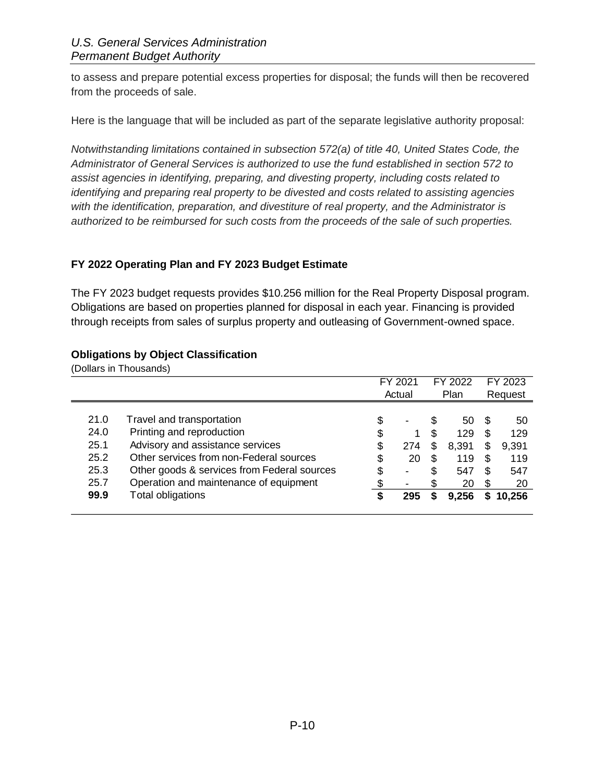to assess and prepare potential excess properties for disposal; the funds will then be recovered from the proceeds of sale.

Here is the language that will be included as part of the separate legislative authority proposal:

*Notwithstanding limitations contained in subsection 572(a) of title 40, United States Code, the Administrator of General Services is authorized to use the fund established in section 572 to assist agencies in identifying, preparing, and divesting property, including costs related to identifying and preparing real property to be divested and costs related to assisting agencies with the identification, preparation, and divestiture of real property, and the Administrator is authorized to be reimbursed for such costs from the proceeds of the sale of such properties.*

### <span id="page-9-0"></span>**FY 2022 Operating Plan and FY 2023 Budget Estimate**

The FY 2023 budget requests provides \$10.256 million for the Real Property Disposal program. Obligations are based on properties planned for disposal in each year. Financing is provided through receipts from sales of surplus property and outleasing of Government-owned space.

#### <span id="page-9-1"></span>**Obligations by Object Classification**

(Dollars in Thousands) FY 2021 FY 2022 FY 2023 Actual Plan Request 21.0 Travel and transportation 100 minutes and the set of the set of the set of the set of the set of the set o 24.0 Printing and reproduction 6 1 \$ 129 \$ 129 25.1 Advisory and assistance services 6 1 8 274 \$ 8,391 \$ 9,391 25.2 Other services from non-Federal sources  $\frac{1}{2}$  \$ 20 \$ 119 \$ 119 25.3 Other goods & services from Federal sources  $\frac{1}{3}$  - \$ 547 \$ 547 25.7 Operation and maintenance of equipment  $\qquad \qquad$  \$ - \$ 20 \$ 20 **99.9** Total obligations **\$ 295 \$ 9,256 \$ 10,256**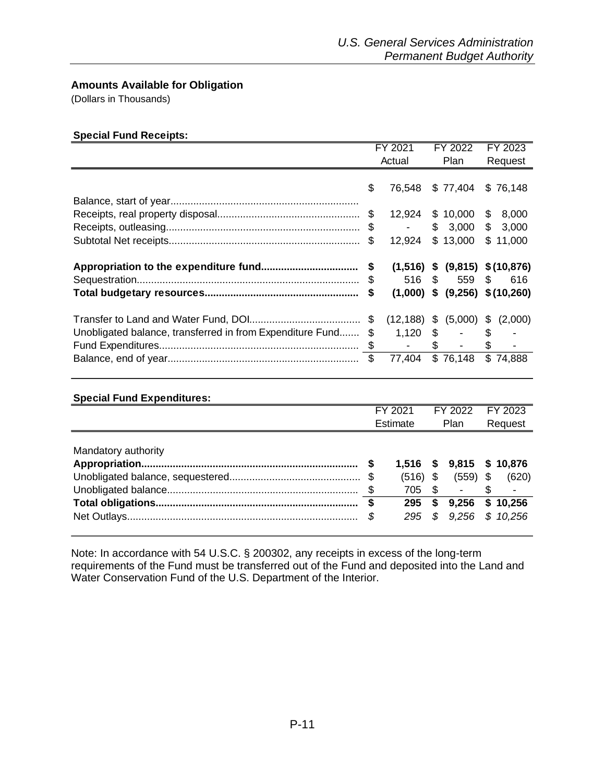#### <span id="page-10-0"></span>**Amounts Available for Obligation**

(Dollars in Thousands)

#### **Special Fund Receipts:**

|                                                              | FY 2021        | FY 2022 |                                                       |    | FY 2023  |
|--------------------------------------------------------------|----------------|---------|-------------------------------------------------------|----|----------|
|                                                              | Actual         | Plan    |                                                       |    | Request  |
|                                                              | \$<br>76,548   |         | $$77,404$ $$76,148$                                   |    |          |
|                                                              | 12,924         |         | \$10,000                                              |    | \$8,000  |
|                                                              | $\sim 100$     |         | \$3,000                                               | \$ | 3,000    |
|                                                              | \$<br>12,924   |         | \$13,000                                              |    | \$11,000 |
|                                                              |                |         | $(1,516)$ \$ $(9,815)$ \$ $(10,876)$<br>516 \$ 559 \$ |    | 616      |
|                                                              |                |         | $(1,000)$ \$ $(9,256)$ \$ $(10,260)$                  |    |          |
| Unobligated balance, transferred in from Expenditure Fund \$ | $(12, 188)$ \$ |         | (5,000)<br>$1,120$ \$ - \$                            | \$ | (2,000)  |
|                                                              | 77,404         |         | \$76,148                                              |    | \$74,888 |

| <b>Special Fund Expenditures:</b> |                            |     |                  |                         |
|-----------------------------------|----------------------------|-----|------------------|-------------------------|
|                                   | FY 2021                    |     | FY 2022          | FY 2023                 |
|                                   | Estimate                   |     | Plan             | Request                 |
| Mandatory authority               | 1.516<br>$(516)$ \$<br>705 | -\$ | \$9,815<br>(559) | \$<br>\$10,876<br>(620) |
|                                   | \$<br>295                  | S   | 9,256            | \$10,256                |
|                                   | \$<br>295                  | S.  |                  | 9,256 \$ 10,256         |

Note: In accordance with 54 U.S.C. § 200302, any receipts in excess of the long-term requirements of the Fund must be transferred out of the Fund and deposited into the Land and Water Conservation Fund of the U.S. Department of the Interior.